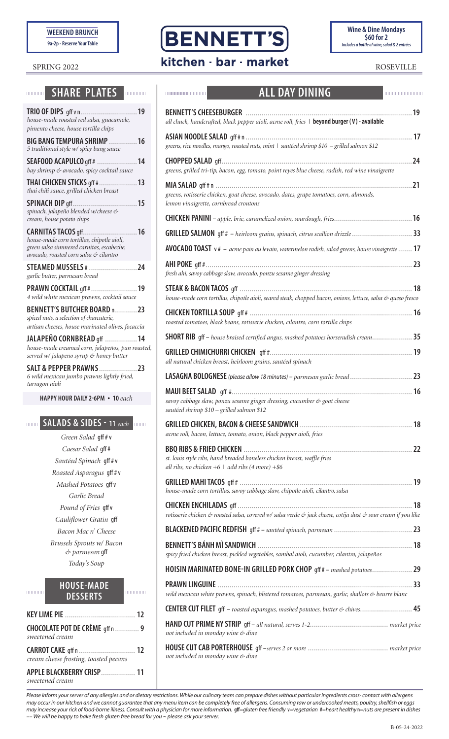**WEEKEND BRUNCH**

**9a-2p - Reserve Your Table** 

### **MUNICIPALE PLATES**

| 19<br>$TRIO$ OF DIPS $qff$ v n<br>house-made roasted red salsa, guacamole,<br>pimento cheese, house tortilla chips                                                   |
|----------------------------------------------------------------------------------------------------------------------------------------------------------------------|
| <b>BIG BANG TEMPURA SHRIMP</b><br>16<br>5 traditional style w/ spicy bang sauce                                                                                      |
| 14<br><b>SEAFOOD ACAPULCO gff #</b><br>bay shrimp & avocado, spicy cocktail sauce                                                                                    |
| <b>THAI CHICKEN STICKS gff #</b><br>13<br>thai chili sauce, grilled chicken breast                                                                                   |
| 15<br><b>SPINACH DIP</b> gff.<br>spinach, jalapeño blended w/cheese &<br>cream, house potato chips                                                                   |
| <b>CARNITAS TACOS gff</b><br>16<br>house-made corn tortillas, chipotle aioli,<br>green salsa simmered carnitas, escabeche,<br>avocado, roasted corn salsa & cilantro |
| STEAMED MUSSELS # 24<br>garlic butter, parmesan bread                                                                                                                |
| PRAWN COCKTAIL gff #  19<br>4 wild white mexican prawns, cocktail sauce                                                                                              |
| BENNETT'S BUTCHER BOARD n23<br>spiced nuts, a selection of charcuterie,<br>artisan cheeses, house marinated olives, focaccia                                         |
| JALAPEÑO CORNBREAD qff 14<br>house-made creamed corn, jalapeños, pan roasted,<br>served w/ jalapeño syrup & honey butter                                             |
| <b>SALT &amp; PEPPER PRAWNS23</b><br>6 wild mexican jumbo prawns lightly fried,<br>tarragon aioli                                                                    |
| HAPPY HOUR DAILY 2-6PM • 10 each                                                                                                                                     |

#### **SALADS & SIDES - 11** *each*  $\overline{\mathbf{m}}$

*Green Salad* gff # v *Caesar Salad* gff # *Sautéed Spinach* gff # v *Roasted Asparagus* gff # v *Mashed Potatoes* gff v *Garlic Bread Pound of Fries* gff v *Cauliflower Gratin* gff *Bacon Mac n' Cheese Brussels Sprouts w/ Bacon & parmesan* gff *Today's Soup*

# **HOUSE-MADE DESSERTS**

mmmm

mmmmm

| CHOCOLATE POT DE CRÈME gff n  9<br>sweetened cream |  |
|----------------------------------------------------|--|
| cream cheese frosting, toasted pecans              |  |
| sweetened cream                                    |  |





# SPRING 2022 **Kitchen · bar · market** ROSEVILLE

mmmmmmmm

00000000000000

## **ALL DAY DINING**

| all chuck, handcrafted, black pepper aioli, acme roll, fries   beyond burger (V) - available                                      | .19  |
|-----------------------------------------------------------------------------------------------------------------------------------|------|
|                                                                                                                                   |      |
| greens, rice noodles, mango, roasted nuts, mint   sautéed shrimp \$10 - grilled salmon \$12                                       | 24   |
| greens, grilled tri-tip, bacon, egg, tomato, point reyes blue cheese, radish, red wine vinaigrette                                |      |
| greens, rotisserie chicken, goat cheese, avocado, dates, grape tomatoes, corn, almonds,<br>lemon vinaigrette, cornbread croutons  | 21   |
|                                                                                                                                   |      |
| GRILLED SALMON gff # - heirloom grains, spinach, citrus scallion drizzle  33                                                      |      |
| <b>AVOCADO TOAST</b> $v$ # $-$ acme pain au levain, watermelon radish, salad greens, house vinaigrette  17                        |      |
| fresh ahi, savoy cabbage slaw, avocado, ponzu sesame ginger dressing                                                              |      |
|                                                                                                                                   |      |
| house-made corn tortillas, chipotle aioli, seared steak, chopped bacon, onions, lettuce, salsa & queso fresco                     | . 18 |
| roasted tomatoes, black beans, rotisserie chicken, cilantro, corn tortilla chips                                                  |      |
| SHORT RIB gff - house braised certified angus, mashed potatoes horseradish cream 35                                               |      |
| all natural chicken breast, heirloom grains, sautéed spinach                                                                      |      |
|                                                                                                                                   |      |
| savoy cabbage slaw, ponzu sesame ginger dressing, cucumber & goat cheese<br>sautéed shrimp \$10 - grilled salmon \$12             |      |
| acme roll, bacon, lettuce, tomato, onion, black pepper aioli, fries                                                               | 18   |
| st. louis style ribs, hand breaded boneless chicken breast, waffle fries<br>all ribs, no chicken $+6$   add ribs (4 more) $+$ \$6 |      |
| house-made corn tortillas, savoy cabbage slaw, chipotle aioli, cilantro, salsa                                                    |      |
| rotisserie chicken & roasted salsa, covered w/ salsa verde & jack cheese, cotija dust & sour cream if you like                    |      |
|                                                                                                                                   |      |
| spicy fried chicken breast, pickled vegetables, sambal aioli, cucumber, cilantro, jalapeños                                       |      |
| HOISIN MARINATED BONE-IN GRILLED PORK CHOP gff # - mashed potatoes 29                                                             |      |
| wild mexican white prawns, spinach, blistered tomatoes, parmesan, garlic, shallots & beurre blanc                                 |      |
|                                                                                                                                   |      |
| not included in monday wine & dine                                                                                                |      |
| not included in monday wine & dine                                                                                                |      |

*Please inform your server of any allergies and or dietary restrictions. While our culinary team can prepare dishes without particular ingredients cross- contact with allergens may occur in our kitchen and we cannot guarantee that any menu item can be completely free of allergens. Consuming raw or undercooked meats, poultry, shellfish or eggs*  may increase your rick of food-borne illness. Consult with a physician for more information. gff=gluten free friendly v=vegetarian #=heart healthy n=nuts are present in dishes *–– We will be happy to bake fresh gluten free bread for you ~ please ask your server.*